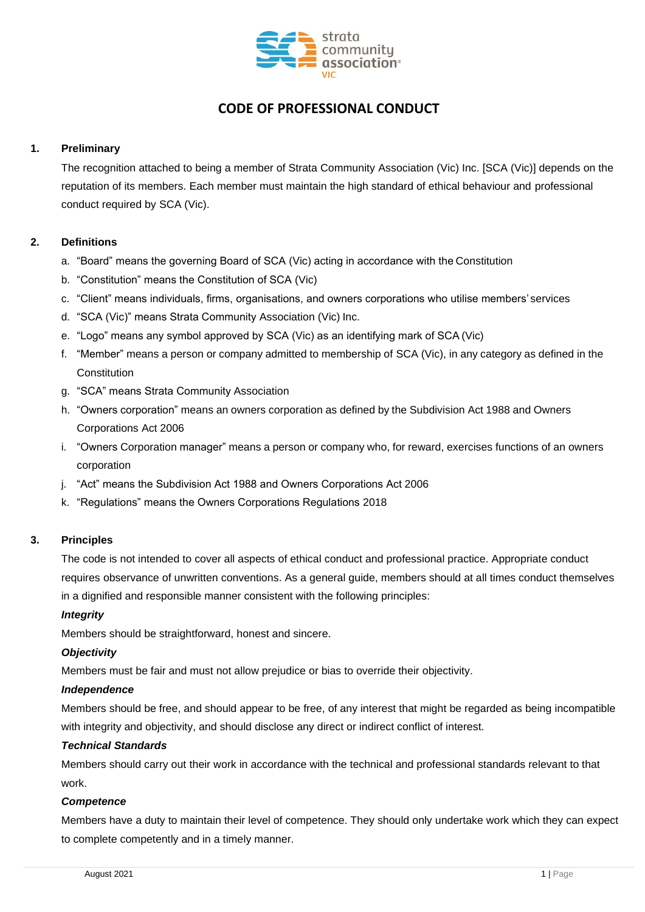

# **CODE OF PROFESSIONAL CONDUCT**

# **1. Preliminary**

The recognition attached to being a member of Strata Community Association (Vic) Inc. [SCA (Vic)] depends on the reputation of its members. Each member must maintain the high standard of ethical behaviour and professional conduct required by SCA (Vic).

### **2. Definitions**

- a. "Board" means the governing Board of SCA (Vic) acting in accordance with the Constitution
- b. "Constitution" means the Constitution of SCA (Vic)
- c. "Client" means individuals, firms, organisations, and owners corporations who utilise members' services
- d. "SCA (Vic)" means Strata Community Association (Vic) Inc.
- e. "Logo" means any symbol approved by SCA (Vic) as an identifying mark of SCA (Vic)
- f. "Member" means a person or company admitted to membership of SCA (Vic), in any category as defined in the **Constitution**
- g. "SCA" means Strata Community Association
- h. "Owners corporation" means an owners corporation as defined by the Subdivision Act 1988 and Owners Corporations Act 2006
- i. "Owners Corporation manager" means a person or company who, for reward, exercises functions of an owners corporation
- j. "Act" means the Subdivision Act 1988 and Owners Corporations Act 2006
- k. "Regulations" means the Owners Corporations Regulations 2018

#### **3. Principles**

The code is not intended to cover all aspects of ethical conduct and professional practice. Appropriate conduct requires observance of unwritten conventions. As a general guide, members should at all times conduct themselves in a dignified and responsible manner consistent with the following principles:

#### *Integrity*

Members should be straightforward, honest and sincere.

#### *Objectivity*

Members must be fair and must not allow prejudice or bias to override their objectivity.

#### *Independence*

Members should be free, and should appear to be free, of any interest that might be regarded as being incompatible with integrity and objectivity, and should disclose any direct or indirect conflict of interest.

#### *Technical Standards*

Members should carry out their work in accordance with the technical and professional standards relevant to that work.

#### *Competence*

Members have a duty to maintain their level of competence. They should only undertake work which they can expect to complete competently and in a timely manner.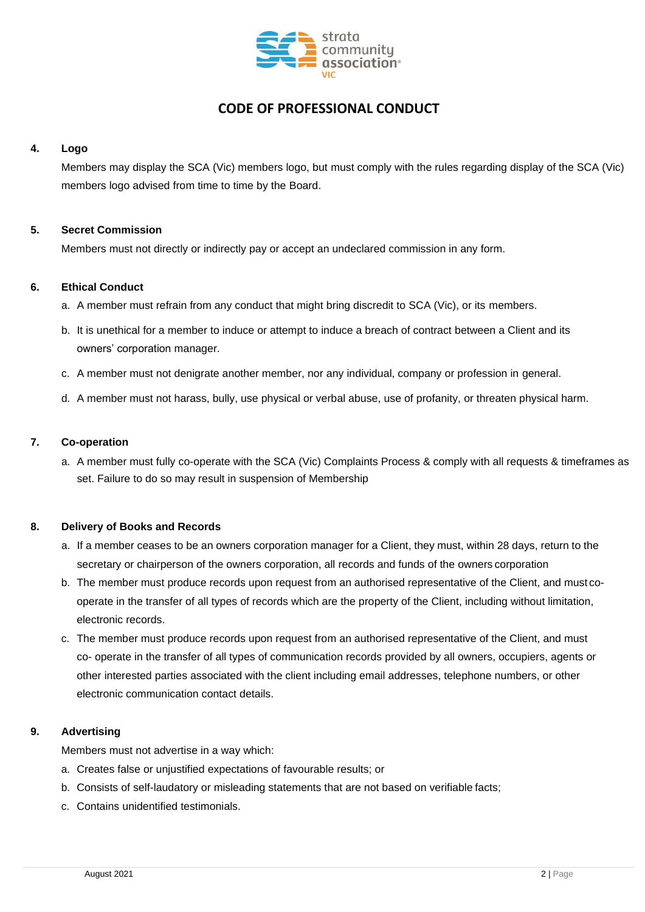

# **CODE OF PROFESSIONAL CONDUCT**

### **4. Logo**

Members may display the SCA (Vic) members logo, but must comply with the rules regarding display of the SCA (Vic) members logo advised from time to time by the Board.

## **5. Secret Commission**

Members must not directly or indirectly pay or accept an undeclared commission in any form.

### **6. Ethical Conduct**

- a. A member must refrain from any conduct that might bring discredit to SCA (Vic), or its members.
- b. It is unethical for a member to induce or attempt to induce a breach of contract between a Client and its owners' corporation manager.
- c. A member must not denigrate another member, nor any individual, company or profession in general.
- d. A member must not harass, bully, use physical or verbal abuse, use of profanity, or threaten physical harm.

### **7. Co-operation**

a. A member must fully co-operate with the SCA (Vic) Complaints Process & comply with all requests & timeframes as set. Failure to do so may result in suspension of Membership

# **8. Delivery of Books and Records**

- a. If a member ceases to be an owners corporation manager for a Client, they must, within 28 days, return to the secretary or chairperson of the owners corporation, all records and funds of the owners corporation
- b. The member must produce records upon request from an authorised representative of the Client, and must cooperate in the transfer of all types of records which are the property of the Client, including without limitation, electronic records.
- c. The member must produce records upon request from an authorised representative of the Client, and must co- operate in the transfer of all types of communication records provided by all owners, occupiers, agents or other interested parties associated with the client including email addresses, telephone numbers, or other electronic communication contact details.

# **9. Advertising**

Members must not advertise in a way which:

- a. Creates false or unjustified expectations of favourable results; or
- b. Consists of self-laudatory or misleading statements that are not based on verifiable facts;
- c. Contains unidentified testimonials.